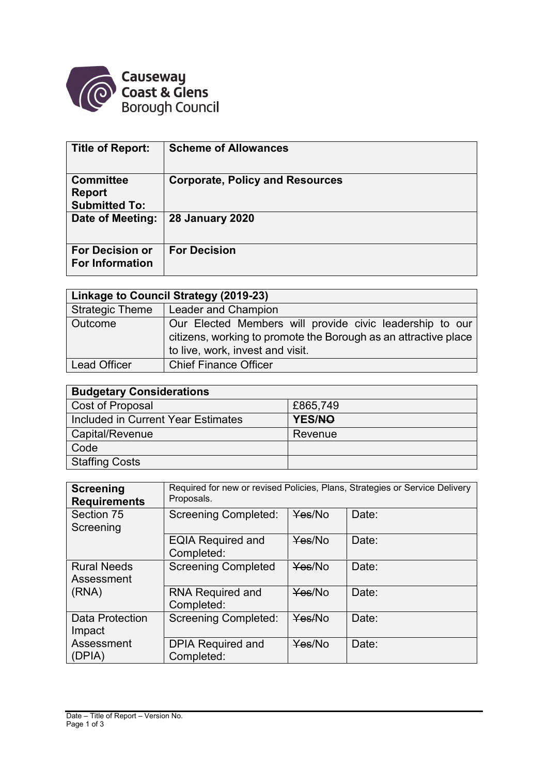

| Title of Report:                                          | <b>Scheme of Allowances</b>            |
|-----------------------------------------------------------|----------------------------------------|
| <b>Committee</b><br><b>Report</b><br><b>Submitted To:</b> | <b>Corporate, Policy and Resources</b> |
| Date of Meeting:                                          | <b>28 January 2020</b>                 |
| <b>For Decision or</b><br><b>For Information</b>          | <b>For Decision</b>                    |

| Linkage to Council Strategy (2019-23) |                                                                                                                                                                 |  |  |  |
|---------------------------------------|-----------------------------------------------------------------------------------------------------------------------------------------------------------------|--|--|--|
| <b>Strategic Theme</b>                | Leader and Champion                                                                                                                                             |  |  |  |
| Outcome                               | Our Elected Members will provide civic leadership to our<br>citizens, working to promote the Borough as an attractive place<br>to live, work, invest and visit. |  |  |  |
| <b>Lead Officer</b>                   | <b>Chief Finance Officer</b>                                                                                                                                    |  |  |  |

| <b>Budgetary Considerations</b>    |          |  |  |  |
|------------------------------------|----------|--|--|--|
| Cost of Proposal                   | £865,749 |  |  |  |
| Included in Current Year Estimates | YES/NO   |  |  |  |
| Capital/Revenue                    | Revenue  |  |  |  |
| Code                               |          |  |  |  |
| <b>Staffing Costs</b>              |          |  |  |  |

| <b>Screening</b><br><b>Requirements</b>   | Required for new or revised Policies, Plans, Strategies or Service Delivery<br>Proposals. |        |       |  |
|-------------------------------------------|-------------------------------------------------------------------------------------------|--------|-------|--|
| Section 75<br>Screening                   | <b>Screening Completed:</b>                                                               | Yes/No | Date: |  |
|                                           | <b>EQIA Required and</b><br>Completed:                                                    | Yes/No | Date: |  |
| <b>Rural Needs</b><br>Assessment<br>(RNA) | <b>Screening Completed</b>                                                                | Yes/No | Date: |  |
|                                           | RNA Required and<br>Completed:                                                            | Yes/No | Date: |  |
| Data Protection<br>Impact                 | <b>Screening Completed:</b>                                                               | Yes/No | Date: |  |
| Assessment<br>(DPIA)                      | <b>DPIA Required and</b><br>Completed:                                                    | Yes/No | Date: |  |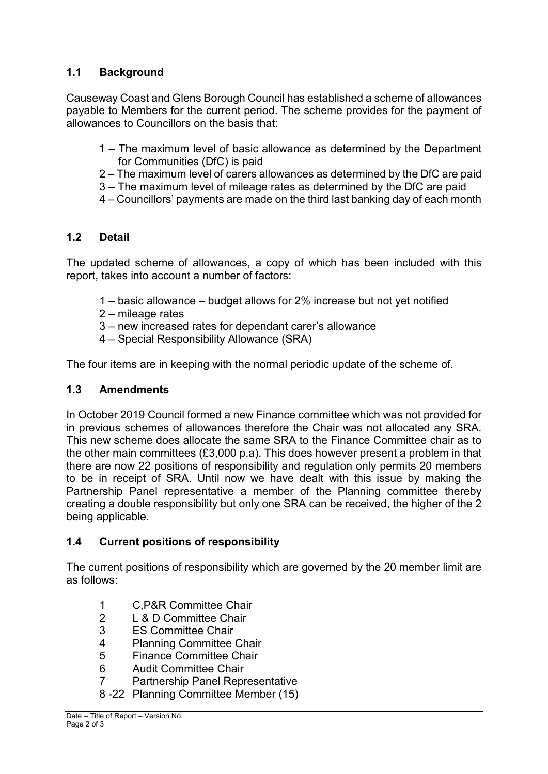# **1.1 Background**

Causeway Coast and Glens Borough Council has established a scheme of allowances payable to Members for the current period. The scheme provides for the payment of allowances to Councillors on the basis that:

- 1 The maximum level of basic allowance as determined by the Department for Communities (DfC) is paid
- 2 The maximum level of carers allowances as determined by the DfC are paid
- 3 The maximum level of mileage rates as determined by the DfC are paid
- 4 Councillors' payments are made on the third last banking day of each month

## **1.2 Detail**

The updated scheme of allowances, a copy of which has been included with this report, takes into account a number of factors:

- 1 basic allowance budget allows for 2% increase but not yet notified
- 2 mileage rates
- 3 new increased rates for dependant carer's allowance
- 4 Special Responsibility Allowance (SRA)

The four items are in keeping with the normal periodic update of the scheme of.

### **1.3 Amendments**

In October 2019 Council formed a new Finance committee which was not provided for in previous schemes of allowances therefore the Chair was not allocated any SRA. This new scheme does allocate the same SRA to the Finance Committee chair as to the other main committees (£3,000 p.a). This does however present a problem in that there are now 22 positions of responsibility and regulation only permits 20 members to be in receipt of SRA. Until now we have dealt with this issue by making the Partnership Panel representative a member of the Planning committee thereby creating a double responsibility but only one SRA can be received, the higher of the 2 being applicable.

### **1.4 Current positions of responsibility**

The current positions of responsibility which are governed by the 20 member limit are as follows:

- 1 C,P&R Committee Chair
- 2 L & D Committee Chair
- 3 ES Committee Chair
- 4 Planning Committee Chair<br>5 Finance Committee Chair
- 5 Finance Committee Chair
- 6 Audit Committee Chair
- 7 Partnership Panel Representative
- 8 -22 Planning Committee Member (15)